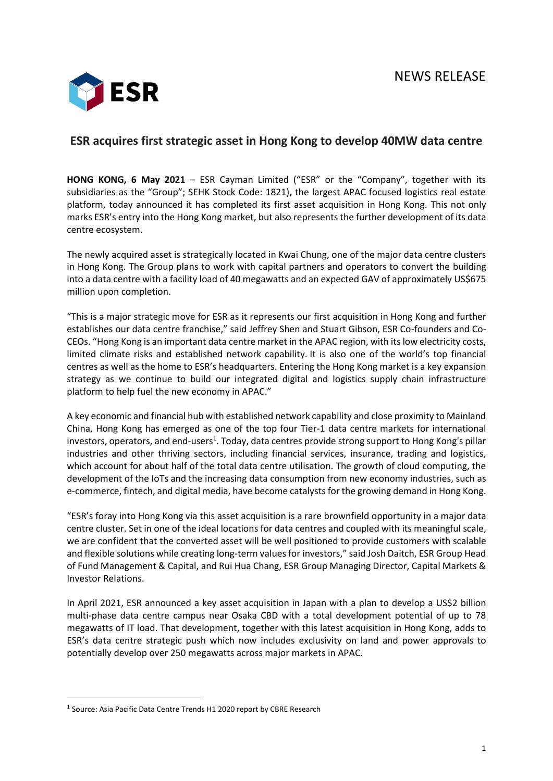

## **ESR acquires first strategic asset in Hong Kong to develop 40MW data centre**

**HONG KONG, 6 May 2021** – ESR Cayman Limited ("ESR" or the "Company", together with its subsidiaries as the "Group"; SEHK Stock Code: 1821), the largest APAC focused logistics real estate platform, today announced it has completed its first asset acquisition in Hong Kong. This not only marks ESR's entry into the Hong Kong market, but also represents the further development of its data centre ecosystem.

The newly acquired asset is strategically located in Kwai Chung, one of the major data centre clusters in Hong Kong. The Group plans to work with capital partners and operators to convert the building into a data centre with a facility load of 40 megawatts and an expected GAV of approximately US\$675 million upon completion.

"This is a major strategic move for ESR as it represents our first acquisition in Hong Kong and further establishes our data centre franchise," said Jeffrey Shen and Stuart Gibson, ESR Co-founders and Co-CEOs. "Hong Kong is an important data centre market in the APAC region, with its low electricity costs, limited climate risks and established network capability. It is also one of the world's top financial centres as well as the home to ESR's headquarters. Entering the Hong Kong market is a key expansion strategy as we continue to build our integrated digital and logistics supply chain infrastructure platform to help fuel the new economy in APAC."

A key economic and financial hub with established network capability and close proximity to Mainland China, Hong Kong has emerged as one of the top four Tier-1 data centre markets for international investors, operators, and end-users<sup>1</sup>. Today, data centres provide strong support to Hong Kong's pillar industries and other thriving sectors, including financial services, insurance, trading and logistics, which account for about half of the total data centre utilisation. The growth of cloud computing, the development of the IoTs and the increasing data consumption from new economy industries, such as e-commerce, fintech, and digital media, have become catalysts for the growing demand in Hong Kong.

"ESR's foray into Hong Kong via this asset acquisition is a rare brownfield opportunity in a major data centre cluster. Set in one of the ideal locations for data centres and coupled with its meaningful scale, we are confident that the converted asset will be well positioned to provide customers with scalable and flexible solutions while creating long-term values for investors," said Josh Daitch, ESR Group Head of Fund Management & Capital, and Rui Hua Chang, ESR Group Managing Director, Capital Markets & Investor Relations.

In April 2021, ESR announced a key asset acquisition in Japan with a plan to develop a US\$2 billion multi-phase data centre campus near Osaka CBD with a total development potential of up to 78 megawatts of IT load. That development, together with this latest acquisition in Hong Kong, adds to ESR's data centre strategic push which now includes exclusivity on land and power approvals to potentially develop over 250 megawatts across major markets in APAC.

<sup>&</sup>lt;sup>1</sup> Source: Asia Pacific Data Centre Trends H1 2020 report by CBRE Research